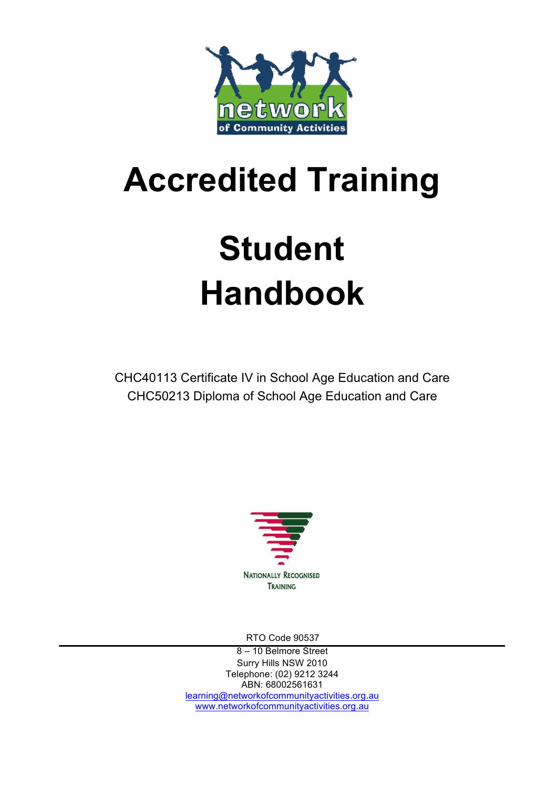

## **Accredited Training**

# **Student Handbook**

CHC40113 Certificate IV in School Age Education and Care CHC50213 Diploma of School Age Education and Care



RTO Code 90537

8 – 10 Belmore Street Surry Hills NSW 2010 Telephone: (02) 9212 3244 ABN: 68002561631 learning@networkofcommunityactivities.org.au www.networkofcommunityactivities.org.au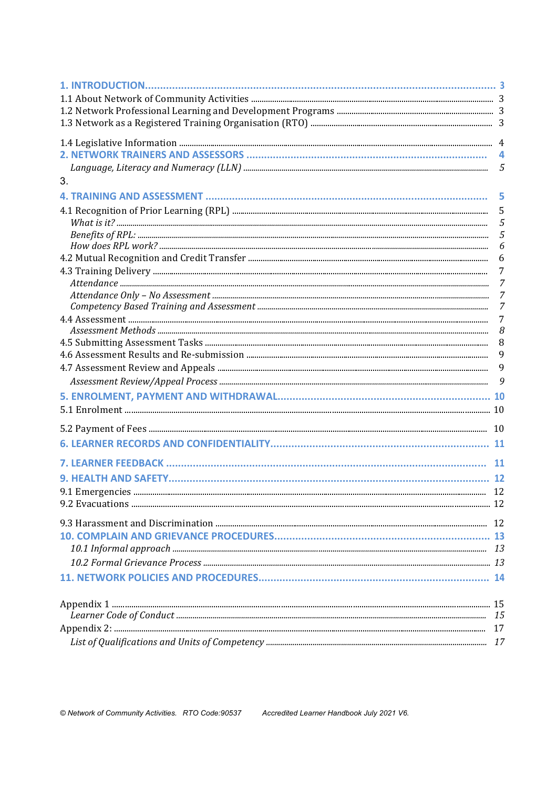|    | 5      |
|----|--------|
| 3. |        |
|    | 5      |
|    | 5      |
|    | 5      |
|    | 5      |
|    | 6<br>6 |
|    | 7      |
|    | 7      |
|    | 7      |
|    | 7      |
|    | 7      |
|    | 8      |
|    | 8      |
|    | 9      |
|    | 9      |
|    | 9      |
|    |        |
|    |        |
|    |        |
|    |        |
|    |        |
|    |        |
|    |        |
|    |        |
|    |        |
|    |        |
|    |        |
|    |        |
|    |        |
|    |        |
|    |        |
|    |        |
|    |        |
|    |        |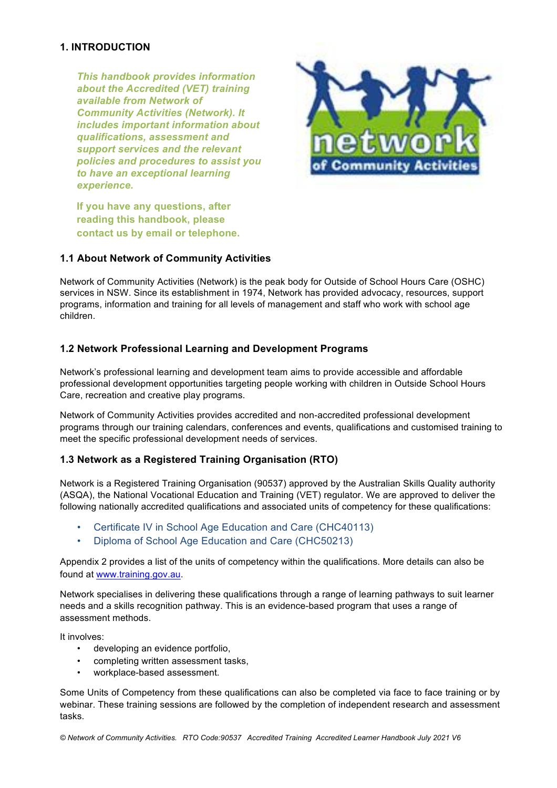#### **1. INTRODUCTION**

*This handbook provides information about the Accredited (VET) training available from Network of Community Activities (Network). It includes important information about qualifications, assessment and support services and the relevant policies and procedures to assist you to have an exceptional learning experience.*



**If you have any questions, after reading this handbook, please contact us by email or telephone.**

#### **1.1 About Network of Community Activities**

Network of Community Activities (Network) is the peak body for Outside of School Hours Care (OSHC) services in NSW. Since its establishment in 1974, Network has provided advocacy, resources, support programs, information and training for all levels of management and staff who work with school age children.

#### **1.2 Network Professional Learning and Development Programs**

Network's professional learning and development team aims to provide accessible and affordable professional development opportunities targeting people working with children in Outside School Hours Care, recreation and creative play programs.

Network of Community Activities provides accredited and non-accredited professional development programs through our training calendars, conferences and events, qualifications and customised training to meet the specific professional development needs of services.

#### **1.3 Network as a Registered Training Organisation (RTO)**

Network is a Registered Training Organisation (90537) approved by the Australian Skills Quality authority (ASQA), the National Vocational Education and Training (VET) regulator. We are approved to deliver the following nationally accredited qualifications and associated units of competency for these qualifications:

- Certificate IV in School Age Education and Care (CHC40113)
- Diploma of School Age Education and Care (CHC50213)

Appendix 2 provides a list of the units of competency within the qualifications. More details can also be found at www.training.gov.au.

Network specialises in delivering these qualifications through a range of learning pathways to suit learner needs and a skills recognition pathway. This is an evidence-based program that uses a range of assessment methods.

It involves:

- developing an evidence portfolio,
- completing written assessment tasks,
- workplace-based assessment.

Some Units of Competency from these qualifications can also be completed via face to face training or by webinar. These training sessions are followed by the completion of independent research and assessment tasks.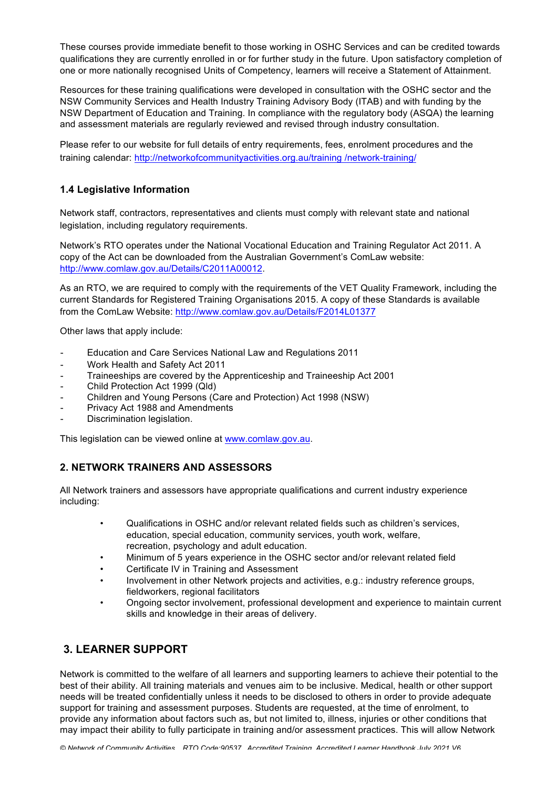These courses provide immediate benefit to those working in OSHC Services and can be credited towards qualifications they are currently enrolled in or for further study in the future. Upon satisfactory completion of one or more nationally recognised Units of Competency, learners will receive a Statement of Attainment.

Resources for these training qualifications were developed in consultation with the OSHC sector and the NSW Community Services and Health Industry Training Advisory Body (ITAB) and with funding by the NSW Department of Education and Training. In compliance with the regulatory body (ASQA) the learning and assessment materials are regularly reviewed and revised through industry consultation.

Please refer to our website for full details of entry requirements, fees, enrolment procedures and the training calendar: http://networkofcommunityactivities.org.au/training /network-training/

#### **1.4 Legislative Information**

Network staff, contractors, representatives and clients must comply with relevant state and national legislation, including regulatory requirements.

Network's RTO operates under the National Vocational Education and Training Regulator Act 2011. A copy of the Act can be downloaded from the Australian Government's ComLaw website: http://www.comlaw.gov.au/Details/C2011A00012.

As an RTO, we are required to comply with the requirements of the VET Quality Framework, including the current Standards for Registered Training Organisations 2015. A copy of these Standards is available from the ComLaw Website: http://www.comlaw.gov.au/Details/F2014L01377

Other laws that apply include:

- Education and Care Services National Law and Regulations 2011
- Work Health and Safety Act 2011
- Traineeships are covered by the Apprenticeship and Traineeship Act 2001
- Child Protection Act 1999 (Qld)
- Children and Young Persons (Care and Protection) Act 1998 (NSW)
- Privacy Act 1988 and Amendments
- Discrimination legislation.

This legislation can be viewed online at www.comlaw.gov.au.

#### **2. NETWORK TRAINERS AND ASSESSORS**

All Network trainers and assessors have appropriate qualifications and current industry experience including:

- Qualifications in OSHC and/or relevant related fields such as children's services, education, special education, community services, youth work, welfare, recreation, psychology and adult education.
- Minimum of 5 years experience in the OSHC sector and/or relevant related field
- Certificate IV in Training and Assessment
- Involvement in other Network projects and activities, e.g.: industry reference groups, fieldworkers, regional facilitators
- Ongoing sector involvement, professional development and experience to maintain current skills and knowledge in their areas of delivery.

#### **3. LEARNER SUPPORT**

Network is committed to the welfare of all learners and supporting learners to achieve their potential to the best of their ability. All training materials and venues aim to be inclusive. Medical, health or other support needs will be treated confidentially unless it needs to be disclosed to others in order to provide adequate support for training and assessment purposes. Students are requested, at the time of enrolment, to provide any information about factors such as, but not limited to, illness, injuries or other conditions that may impact their ability to fully participate in training and/or assessment practices. This will allow Network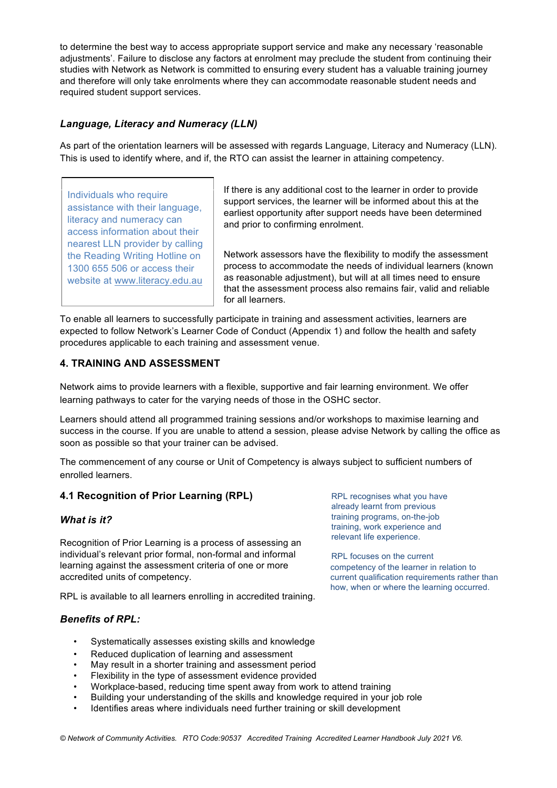to determine the best way to access appropriate support service and make any necessary 'reasonable adjustments'. Failure to disclose any factors at enrolment may preclude the student from continuing their studies with Network as Network is committed to ensuring every student has a valuable training journey and therefore will only take enrolments where they can accommodate reasonable student needs and required student support services.

#### *Language, Literacy and Numeracy (LLN)*

As part of the orientation learners will be assessed with regards Language, Literacy and Numeracy (LLN). This is used to identify where, and if, the RTO can assist the learner in attaining competency.

Individuals who require assistance with their language, literacy and numeracy can access information about their nearest LLN provider by calling the Reading Writing Hotline on 1300 655 506 or access their website at www.literacy.edu.au If there is any additional cost to the learner in order to provide support services, the learner will be informed about this at the earliest opportunity after support needs have been determined and prior to confirming enrolment.

Network assessors have the flexibility to modify the assessment process to accommodate the needs of individual learners (known as reasonable adjustment), but will at all times need to ensure that the assessment process also remains fair, valid and reliable for all learners.

To enable all learners to successfully participate in training and assessment activities, learners are expected to follow Network's Learner Code of Conduct (Appendix 1) and follow the health and safety procedures applicable to each training and assessment venue.

#### **4. TRAINING AND ASSESSMENT**

Network aims to provide learners with a flexible, supportive and fair learning environment. We offer learning pathways to cater for the varying needs of those in the OSHC sector.

Learners should attend all programmed training sessions and/or workshops to maximise learning and success in the course. If you are unable to attend a session, please advise Network by calling the office as soon as possible so that your trainer can be advised.

The commencement of any course or Unit of Competency is always subject to sufficient numbers of enrolled learners.

#### **4.1 Recognition of Prior Learning (RPL)**

#### *What is it?*

Recognition of Prior Learning is a process of assessing an individual's relevant prior formal, non-formal and informal learning against the assessment criteria of one or more accredited units of competency.

RPL is available to all learners enrolling in accredited training.

#### *Benefits of RPL:*

- Systematically assesses existing skills and knowledge
- Reduced duplication of learning and assessment
- May result in a shorter training and assessment period
- Flexibility in the type of assessment evidence provided
- Workplace-based, reducing time spent away from work to attend training
- Building your understanding of the skills and knowledge required in your job role
- Identifies areas where individuals need further training or skill development

RPL recognises what you have already learnt from previous training programs, on-the-job training, work experience and relevant life experience.

RPL focuses on the current competency of the learner in relation to current qualification requirements rather than how, when or where the learning occurred.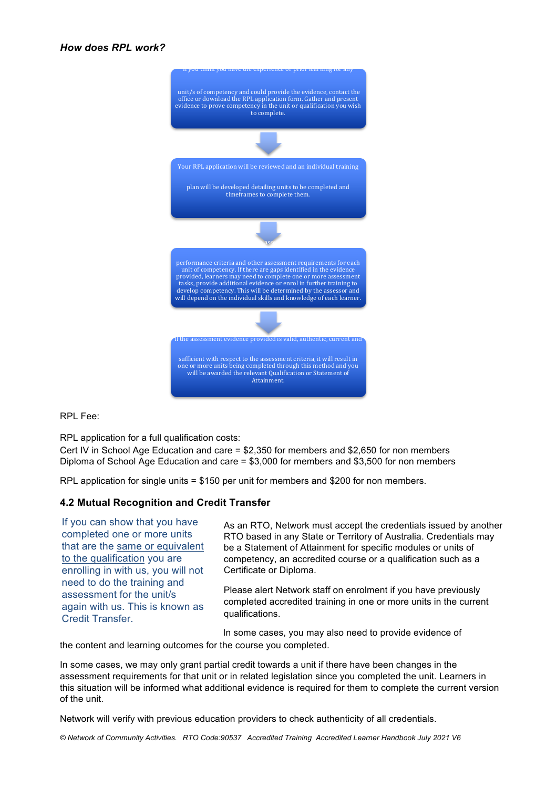#### *How does RPL work?*



RPL Fee:

RPL application for a full qualification costs:

Cert IV in School Age Education and care = \$2,350 for members and \$2,650 for non members Diploma of School Age Education and care = \$3,000 for members and \$3,500 for non members

RPL application for single units = \$150 per unit for members and \$200 for non members.

#### **4.2 Mutual Recognition and Credit Transfer**

If you can show that you have completed one or more units that are the same or equivalent to the qualification you are enrolling in with us, you will not need to do the training and assessment for the unit/s again with us. This is known as Credit Transfer.

As an RTO, Network must accept the credentials issued by another RTO based in any State or Territory of Australia. Credentials may be a Statement of Attainment for specific modules or units of competency, an accredited course or a qualification such as a Certificate or Diploma.

Please alert Network staff on enrolment if you have previously completed accredited training in one or more units in the current qualifications.

In some cases, you may also need to provide evidence of

the content and learning outcomes for the course you completed.

In some cases, we may only grant partial credit towards a unit if there have been changes in the assessment requirements for that unit or in related legislation since you completed the unit. Learners in this situation will be informed what additional evidence is required for them to complete the current version of the unit.

Network will verify with previous education providers to check authenticity of all credentials.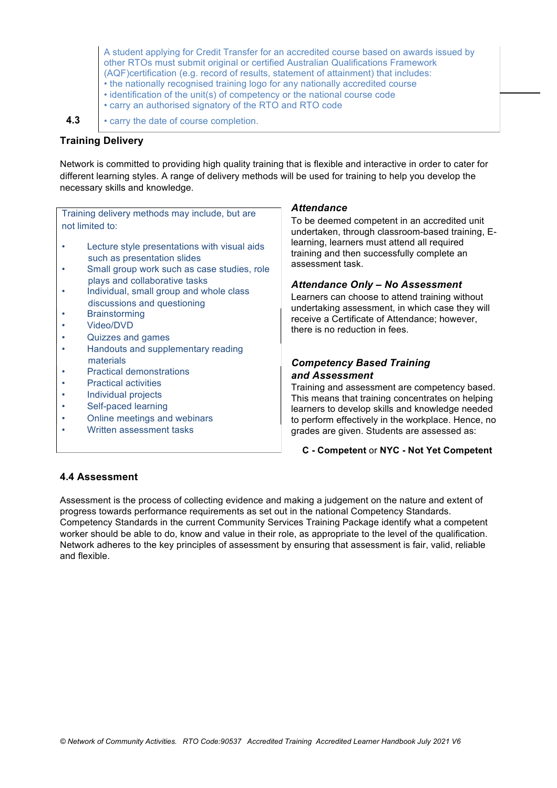A student applying for Credit Transfer for an accredited course based on awards issued by other RTOs must submit original or certified Australian Qualifications Framework (AQF)certification (e.g. record of results, statement of attainment) that includes: • the nationally recognised training logo for any nationally accredited course

- identification of the unit(s) of competency or the national course code
- carry an authorised signatory of the RTO and RTO code

**4.3** • carry the date of course completion.

#### **Training Delivery**

Network is committed to providing high quality training that is flexible and interactive in order to cater for different learning styles. A range of delivery methods will be used for training to help you develop the necessary skills and knowledge.

Training delivery methods may include, but are not limited to:

- Lecture style presentations with visual aids such as presentation slides
- Small group work such as case studies, role plays and collaborative tasks
- Individual, small group and whole class discussions and questioning
- **Brainstorming**
- Video/DVD
- Quizzes and games
- Handouts and supplementary reading materials
- Practical demonstrations
- Practical activities
- Individual projects
- Self-paced learning
- Online meetings and webinars
- Written assessment tasks

#### *Attendance*

To be deemed competent in an accredited unit undertaken, through classroom-based training, Elearning, learners must attend all required training and then successfully complete an assessment task.

#### *Attendance Only – No Assessment*

Learners can choose to attend training without undertaking assessment, in which case they will receive a Certificate of Attendance; however, there is no reduction in fees.

#### *Competency Based Training and Assessment*

Training and assessment are competency based. This means that training concentrates on helping learners to develop skills and knowledge needed to perform effectively in the workplace. Hence, no grades are given. Students are assessed as:

#### **C - Competent** or **NYC - Not Yet Competent**

#### **4.4 Assessment**

Assessment is the process of collecting evidence and making a judgement on the nature and extent of progress towards performance requirements as set out in the national Competency Standards. Competency Standards in the current Community Services Training Package identify what a competent worker should be able to do, know and value in their role, as appropriate to the level of the qualification. Network adheres to the key principles of assessment by ensuring that assessment is fair, valid, reliable and flexible.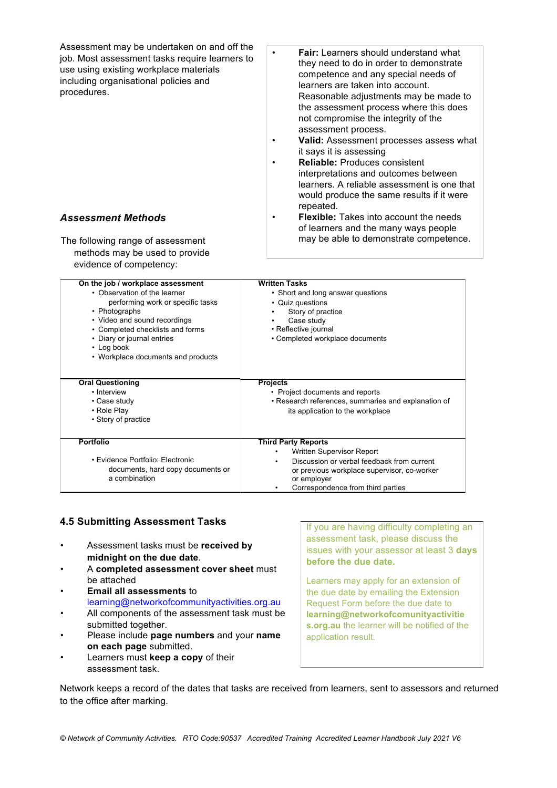Assessment may be undertaken on and off the job. Most assessment tasks require learners to use using existing workplace materials including organisational policies and procedures. *Assessment Methods* The following range of assessment methods may be used to provide evidence of competency: • **Fair:** Learners should understand what they need to do in order to demonstrate competence and any special needs of learners are taken into account. Reasonable adjustments may be made to the assessment process where this does not compromise the integrity of the assessment process. • **Valid:** Assessment processes assess what it says it is assessing • **Reliable:** Produces consistent interpretations and outcomes between learners. A reliable assessment is one that would produce the same results if it were repeated. • **Flexible:** Takes into account the needs of learners and the many ways people may be able to demonstrate competence. **On the job / workplace assessment** • Observation of the learner performing work or specific tasks • Photographs • Video and sound recordings • Completed checklists and forms • Diary or journal entries • Log book • Workplace documents and products **Oral Questioning** • Interview • Case study • Role Play • Story of practice **Portfolio** • Evidence Portfolio: Electronic documents, hard copy documents or a combination **Written Tasks** • Short and long answer questions • Quiz questions Story of practice Case study • Reflective journal • Completed workplace documents **Projects** • Project documents and reports • Research references, summaries and explanation of its application to the workplace **Third Party Reports** • Written Supervisor Report • Discussion or verbal feedback from current or previous workplace supervisor, co-worker or employer • Correspondence from third parties

#### **4.5 Submitting Assessment Tasks**

- Assessment tasks must be **received by midnight on the due date**.
- A **completed assessment cover sheet** must be attached
- **Email all assessments** to learning@networkofcommunityactivities.org.au
- All components of the assessment task must be submitted together.
- Please include **page numbers** and your **name on each page** submitted.
- Learners must **keep a copy** of their assessment task.

If you are having difficulty completing an assessment task, please discuss the issues with your assessor at least 3 **days before the due date.**

Learners may apply for an extension of the due date by emailing the Extension Request Form before the due date to **learning@networkofcomunityactivitie s.org.au** the learner will be notified of the application result.

Network keeps a record of the dates that tasks are received from learners, sent to assessors and returned to the office after marking.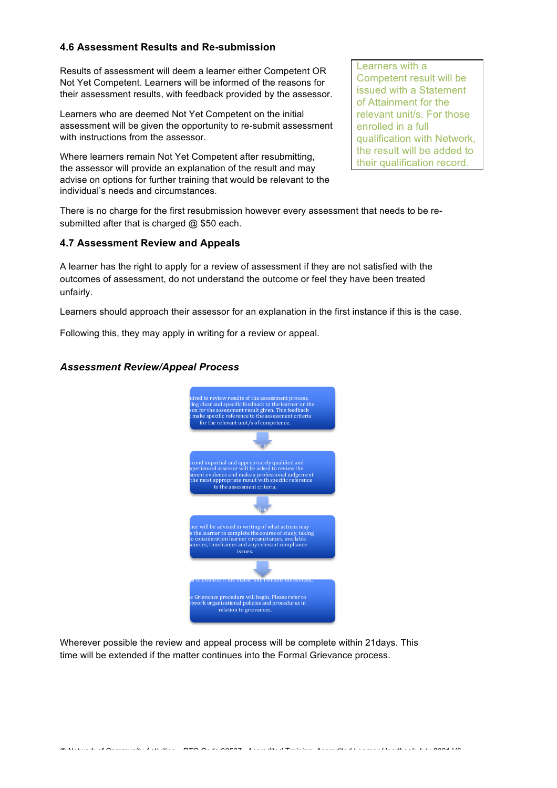#### **4.6 Assessment Results and Re-submission**

Results of assessment will deem a learner either Competent OR Not Yet Competent. Learners will be informed of the reasons for their assessment results, with feedback provided by the assessor.

Learners who are deemed Not Yet Competent on the initial assessment will be given the opportunity to re-submit assessment with instructions from the assessor.

Where learners remain Not Yet Competent after resubmitting, the assessor will provide an explanation of the result and may advise on options for further training that would be relevant to the individual's needs and circumstances.

Learners with a Competent result will be issued with a Statement of Attainment for the relevant unit/s. For those enrolled in a full qualification with Network, the result will be added to their qualification record.

There is no charge for the first resubmission however every assessment that needs to be resubmitted after that is charged @ \$50 each.

#### **4.7 Assessment Review and Appeals**

A learner has the right to apply for a review of assessment if they are not satisfied with the outcomes of assessment, do not understand the outcome or feel they have been treated unfairly.

Learners should approach their assessor for an explanation in the first instance if this is the case.

Following this, they may apply in writing for a review or appeal.

#### *Assessment Review/Appeal Process*



Wherever possible the review and appeal process will be complete within 21days. This time will be extended if the matter continues into the Formal Grievance process.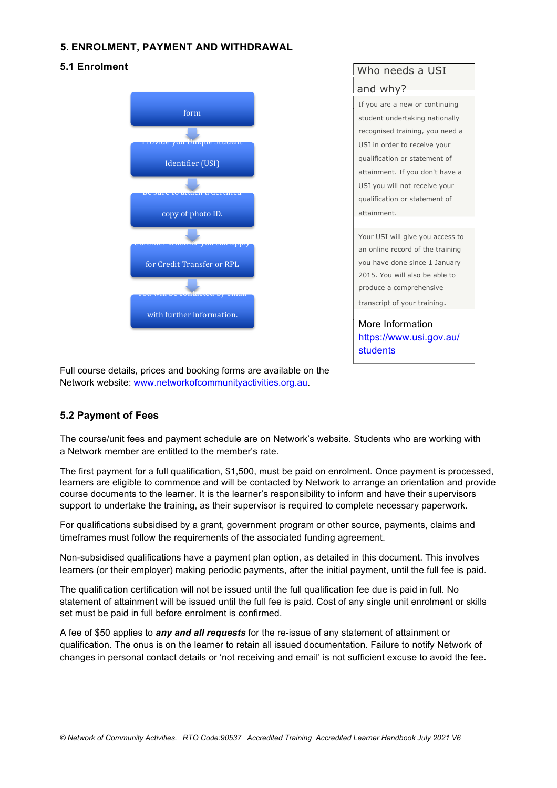#### **5. ENROLMENT, PAYMENT AND WITHDRAWAL**

#### **5.1 Enrolment**



### Who needs a USI and why? If you are a new or continuing student undertaking nationally recognised training, you need a USI in order to receive your qualification or statement of attainment. If you don't have a USI you will not receive your qualification or statement of attainment.

Your USI will give you access to an online record of the training you have done since 1 January 2015. You will also be able to produce a comprehensive transcript of your training.

More Information https://www.usi.gov.au/ students

Full course details, prices and booking forms are available on the Network website: www.networkofcommunityactivities.org.au.

#### **5.2 Payment of Fees**

The course/unit fees and payment schedule are on Network's website. Students who are working with a Network member are entitled to the member's rate.

The first payment for a full qualification, \$1,500, must be paid on enrolment. Once payment is processed, learners are eligible to commence and will be contacted by Network to arrange an orientation and provide course documents to the learner. It is the learner's responsibility to inform and have their supervisors support to undertake the training, as their supervisor is required to complete necessary paperwork.

For qualifications subsidised by a grant, government program or other source, payments, claims and timeframes must follow the requirements of the associated funding agreement.

Non-subsidised qualifications have a payment plan option, as detailed in this document. This involves learners (or their employer) making periodic payments, after the initial payment, until the full fee is paid.

The qualification certification will not be issued until the full qualification fee due is paid in full. No statement of attainment will be issued until the full fee is paid. Cost of any single unit enrolment or skills set must be paid in full before enrolment is confirmed.

A fee of \$50 applies to *any and all requests* for the re-issue of any statement of attainment or qualification. The onus is on the learner to retain all issued documentation. Failure to notify Network of changes in personal contact details or 'not receiving and email' is not sufficient excuse to avoid the fee.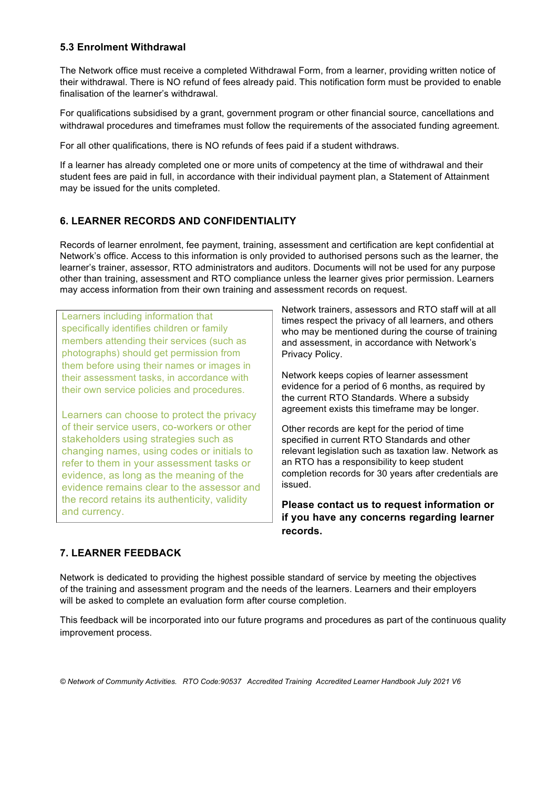#### **5.3 Enrolment Withdrawal**

The Network office must receive a completed Withdrawal Form, from a learner, providing written notice of their withdrawal. There is NO refund of fees already paid. This notification form must be provided to enable finalisation of the learner's withdrawal.

For qualifications subsidised by a grant, government program or other financial source, cancellations and withdrawal procedures and timeframes must follow the requirements of the associated funding agreement.

For all other qualifications, there is NO refunds of fees paid if a student withdraws.

If a learner has already completed one or more units of competency at the time of withdrawal and their student fees are paid in full, in accordance with their individual payment plan, a Statement of Attainment may be issued for the units completed.

#### **6. LEARNER RECORDS AND CONFIDENTIALITY**

Records of learner enrolment, fee payment, training, assessment and certification are kept confidential at Network's office. Access to this information is only provided to authorised persons such as the learner, the learner's trainer, assessor, RTO administrators and auditors. Documents will not be used for any purpose other than training, assessment and RTO compliance unless the learner gives prior permission. Learners may access information from their own training and assessment records on request.

Learners including information that specifically identifies children or family members attending their services (such as photographs) should get permission from them before using their names or images in their assessment tasks, in accordance with their own service policies and procedures.

Learners can choose to protect the privacy of their service users, co-workers or other stakeholders using strategies such as changing names, using codes or initials to refer to them in your assessment tasks or evidence, as long as the meaning of the evidence remains clear to the assessor and the record retains its authenticity, validity and currency.

Network trainers, assessors and RTO staff will at all times respect the privacy of all learners, and others who may be mentioned during the course of training and assessment, in accordance with Network's Privacy Policy.

Network keeps copies of learner assessment evidence for a period of 6 months, as required by the current RTO Standards. Where a subsidy agreement exists this timeframe may be longer.

Other records are kept for the period of time specified in current RTO Standards and other relevant legislation such as taxation law. Network as an RTO has a responsibility to keep student completion records for 30 years after credentials are issued.

**Please contact us to request information or if you have any concerns regarding learner records.**

#### **7. LEARNER FEEDBACK**

Network is dedicated to providing the highest possible standard of service by meeting the objectives of the training and assessment program and the needs of the learners. Learners and their employers will be asked to complete an evaluation form after course completion.

This feedback will be incorporated into our future programs and procedures as part of the continuous quality improvement process.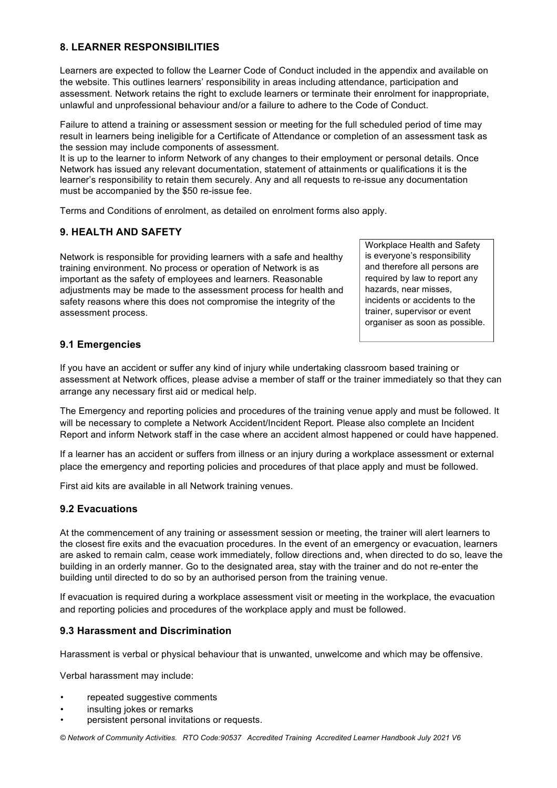#### **8. LEARNER RESPONSIBILITIES**

Learners are expected to follow the Learner Code of Conduct included in the appendix and available on the website. This outlines learners' responsibility in areas including attendance, participation and assessment. Network retains the right to exclude learners or terminate their enrolment for inappropriate, unlawful and unprofessional behaviour and/or a failure to adhere to the Code of Conduct.

Failure to attend a training or assessment session or meeting for the full scheduled period of time may result in learners being ineligible for a Certificate of Attendance or completion of an assessment task as the session may include components of assessment.

It is up to the learner to inform Network of any changes to their employment or personal details. Once Network has issued any relevant documentation, statement of attainments or qualifications it is the learner's responsibility to retain them securely. Any and all requests to re-issue any documentation must be accompanied by the \$50 re-issue fee.

Terms and Conditions of enrolment, as detailed on enrolment forms also apply.

#### **9. HEALTH AND SAFETY**

Network is responsible for providing learners with a safe and healthy training environment. No process or operation of Network is as important as the safety of employees and learners. Reasonable adjustments may be made to the assessment process for health and safety reasons where this does not compromise the integrity of the assessment process.

Workplace Health and Safety is everyone's responsibility and therefore all persons are required by law to report any hazards, near misses, incidents or accidents to the trainer, supervisor or event organiser as soon as possible.

#### **9.1 Emergencies**

If you have an accident or suffer any kind of injury while undertaking classroom based training or assessment at Network offices, please advise a member of staff or the trainer immediately so that they can arrange any necessary first aid or medical help.

The Emergency and reporting policies and procedures of the training venue apply and must be followed. It will be necessary to complete a Network Accident/Incident Report. Please also complete an Incident Report and inform Network staff in the case where an accident almost happened or could have happened.

If a learner has an accident or suffers from illness or an injury during a workplace assessment or external place the emergency and reporting policies and procedures of that place apply and must be followed.

First aid kits are available in all Network training venues.

#### **9.2 Evacuations**

At the commencement of any training or assessment session or meeting, the trainer will alert learners to the closest fire exits and the evacuation procedures. In the event of an emergency or evacuation, learners are asked to remain calm, cease work immediately, follow directions and, when directed to do so, leave the building in an orderly manner. Go to the designated area, stay with the trainer and do not re-enter the building until directed to do so by an authorised person from the training venue.

If evacuation is required during a workplace assessment visit or meeting in the workplace, the evacuation and reporting policies and procedures of the workplace apply and must be followed.

#### **9.3 Harassment and Discrimination**

Harassment is verbal or physical behaviour that is unwanted, unwelcome and which may be offensive.

Verbal harassment may include:

- repeated suggestive comments
- insulting jokes or remarks
- persistent personal invitations or requests.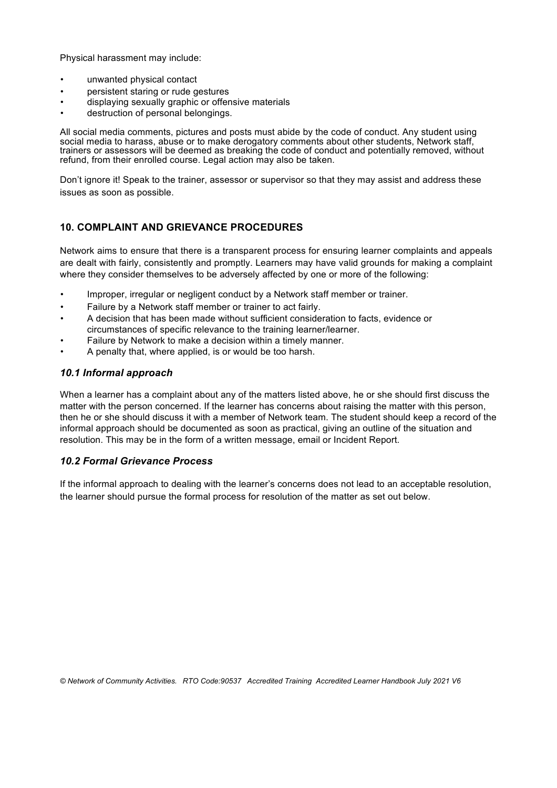Physical harassment may include:

- unwanted physical contact
- persistent staring or rude gestures
- displaying sexually graphic or offensive materials
- destruction of personal belongings.

All social media comments, pictures and posts must abide by the code of conduct. Any student using social media to harass, abuse or to make derogatory comments about other students, Network staff, trainers or assessors will be deemed as breaking the code of conduct and potentially removed, without refund, from their enrolled course. Legal action may also be taken.

Don't ignore it! Speak to the trainer, assessor or supervisor so that they may assist and address these issues as soon as possible.

#### **10. COMPLAINT AND GRIEVANCE PROCEDURES**

Network aims to ensure that there is a transparent process for ensuring learner complaints and appeals are dealt with fairly, consistently and promptly. Learners may have valid grounds for making a complaint where they consider themselves to be adversely affected by one or more of the following:

- Improper, irregular or negligent conduct by a Network staff member or trainer.
- Failure by a Network staff member or trainer to act fairly.
- A decision that has been made without sufficient consideration to facts, evidence or circumstances of specific relevance to the training learner/learner.
- Failure by Network to make a decision within a timely manner.
- A penalty that, where applied, is or would be too harsh.

#### *10.1 Informal approach*

When a learner has a complaint about any of the matters listed above, he or she should first discuss the matter with the person concerned. If the learner has concerns about raising the matter with this person, then he or she should discuss it with a member of Network team. The student should keep a record of the informal approach should be documented as soon as practical, giving an outline of the situation and resolution. This may be in the form of a written message, email or Incident Report.

#### *10.2 Formal Grievance Process*

If the informal approach to dealing with the learner's concerns does not lead to an acceptable resolution, the learner should pursue the formal process for resolution of the matter as set out below.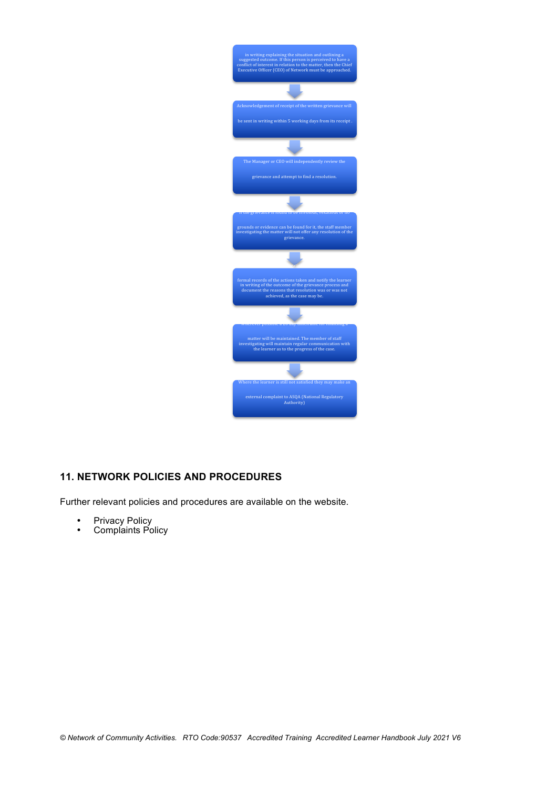

#### **11. NETWORK POLICIES AND PROCEDURES**

Further relevant policies and procedures are available on the website.

- Privacy Policy
- Complaints Policy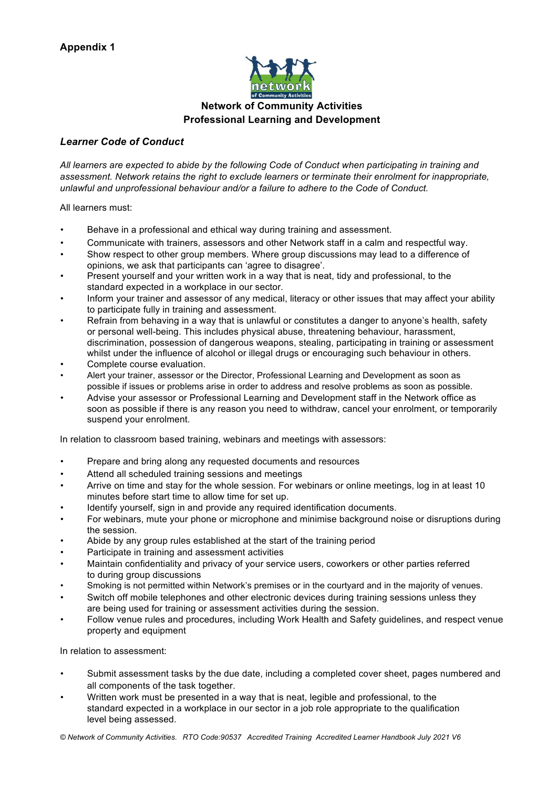

#### **Network of Community Activities Professional Learning and Development**

#### *Learner Code of Conduct*

*All learners are expected to abide by the following Code of Conduct when participating in training and assessment. Network retains the right to exclude learners or terminate their enrolment for inappropriate, unlawful and unprofessional behaviour and/or a failure to adhere to the Code of Conduct.*

All learners must:

- Behave in a professional and ethical way during training and assessment.
- Communicate with trainers, assessors and other Network staff in a calm and respectful way.
- Show respect to other group members. Where group discussions may lead to a difference of opinions, we ask that participants can 'agree to disagree'.
- Present yourself and your written work in a way that is neat, tidy and professional, to the standard expected in a workplace in our sector.
- Inform your trainer and assessor of any medical, literacy or other issues that may affect your ability to participate fully in training and assessment.
- Refrain from behaving in a way that is unlawful or constitutes a danger to anyone's health, safety or personal well-being. This includes physical abuse, threatening behaviour, harassment, discrimination, possession of dangerous weapons, stealing, participating in training or assessment whilst under the influence of alcohol or illegal drugs or encouraging such behaviour in others.
- Complete course evaluation.
- Alert your trainer, assessor or the Director, Professional Learning and Development as soon as possible if issues or problems arise in order to address and resolve problems as soon as possible.
- Advise your assessor or Professional Learning and Development staff in the Network office as soon as possible if there is any reason you need to withdraw, cancel your enrolment, or temporarily suspend your enrolment.

In relation to classroom based training, webinars and meetings with assessors:

- Prepare and bring along any requested documents and resources
- Attend all scheduled training sessions and meetings
- Arrive on time and stay for the whole session. For webinars or online meetings, log in at least 10 minutes before start time to allow time for set up.
- Identify yourself, sign in and provide any required identification documents.
- For webinars, mute your phone or microphone and minimise background noise or disruptions during the session.
- Abide by any group rules established at the start of the training period
- Participate in training and assessment activities
- Maintain confidentiality and privacy of your service users, coworkers or other parties referred to during group discussions
- Smoking is not permitted within Network's premises or in the courtyard and in the majority of venues.
- Switch off mobile telephones and other electronic devices during training sessions unless they are being used for training or assessment activities during the session.
- Follow venue rules and procedures, including Work Health and Safety guidelines, and respect venue property and equipment

In relation to assessment:

- Submit assessment tasks by the due date, including a completed cover sheet, pages numbered and all components of the task together.
- Written work must be presented in a way that is neat, legible and professional, to the standard expected in a workplace in our sector in a job role appropriate to the qualification level being assessed.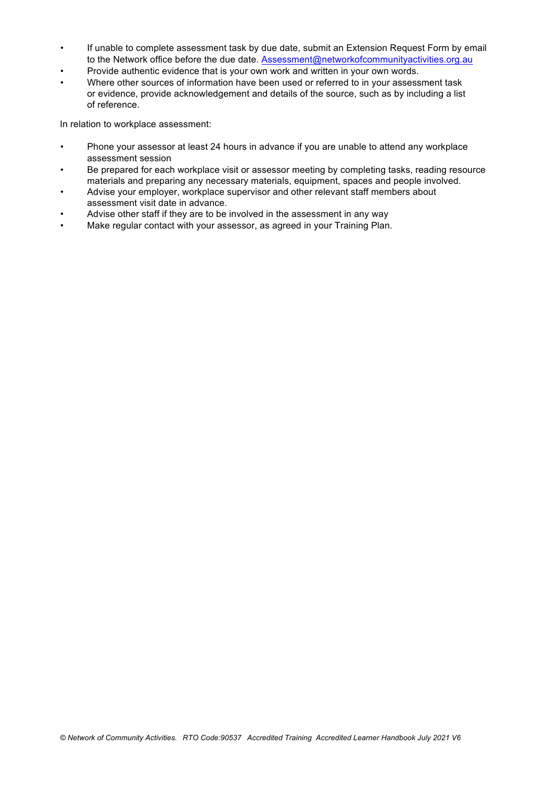- If unable to complete assessment task by due date, submit an Extension Request Form by email to the Network office before the due date. Assessment@networkofcommunityactivities.org.au
- Provide authentic evidence that is your own work and written in your own words.
- Where other sources of information have been used or referred to in your assessment task or evidence, provide acknowledgement and details of the source, such as by including a list of reference.

In relation to workplace assessment:

- Phone your assessor at least 24 hours in advance if you are unable to attend any workplace assessment session
- Be prepared for each workplace visit or assessor meeting by completing tasks, reading resource materials and preparing any necessary materials, equipment, spaces and people involved.
- Advise your employer, workplace supervisor and other relevant staff members about assessment visit date in advance.
- Advise other staff if they are to be involved in the assessment in any way
- Make regular contact with your assessor, as agreed in your Training Plan.